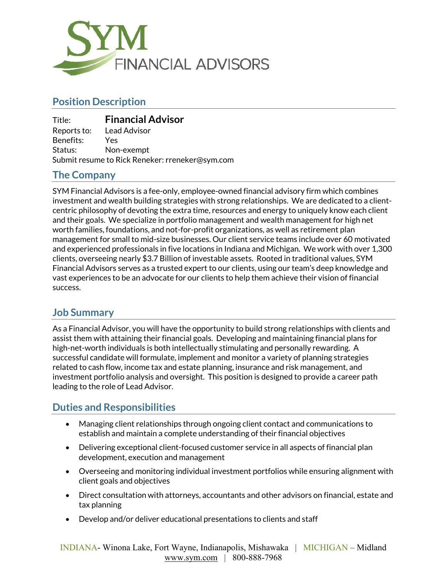

# **Position Description**

| Title:                                          | <b>Financial Advisor</b> |
|-------------------------------------------------|--------------------------|
| Reports to:                                     | Lead Advisor             |
| Benefits:                                       | Yes                      |
| Status:                                         | Non-exempt               |
| Submit resume to Rick Reneker: rreneker@sym.com |                          |

#### **The Company**

SYM Financial Advisors is a fee-only, employee-owned financial advisory firm which combines investment and wealth building strategies with strong relationships. We are dedicated to a clientcentric philosophy of devoting the extra time, resources and energy to uniquely know each client and their goals. We specialize in portfolio management and wealth management for high net worth families, foundations, and not-for-profit organizations, as well as retirement plan management for small to mid-size businesses. Our client service teams include over 60 motivated and experienced professionals in five locations in Indiana and Michigan. We work with over 1,300 clients, overseeing nearly \$3.7 Billion of investable assets. Rooted in traditional values, SYM Financial Advisors serves as a trusted expert to our clients, using our team's deep knowledge and vast experiences to be an advocate for our clients to help them achieve their vision of financial success.

# **Job Summary**

As a Financial Advisor, you will have the opportunity to build strong relationships with clients and assist them with attaining their financial goals. Developing and maintaining financial plans for high-net-worth individuals is both intellectually stimulating and personally rewarding. A successful candidate will formulate, implement and monitor a variety of planning strategies related to cash flow, income tax and estate planning, insurance and risk management, and investment portfolio analysis and oversight. This position is designed to provide a career path leading to the role of Lead Advisor.

# **Duties and Responsibilities**

- Managing client relationships through ongoing client contact and communications to establish and maintain a complete understanding of their financial objectives
- Delivering exceptional client-focused customer service in all aspects of financial plan development, execution and management
- Overseeing and monitoring individual investment portfolios while ensuring alignment with client goals and objectives
- Direct consultation with attorneys, accountants and other advisors on financial, estate and tax planning
- Develop and/or deliver educational presentations to clients and staff